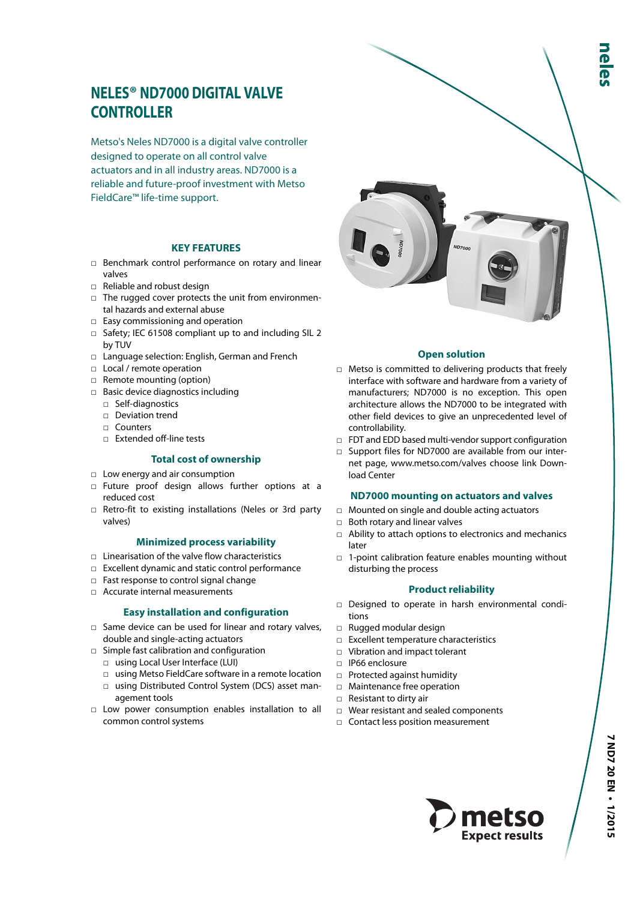# **NELES® ND7000 DIGITAL VALVE CONTROLLER**

Metso's Neles ND7000 is a digital valve controller designed to operate on all control valve actuators and in all industry areas. ND7000 is a reliable and future-proof investment with Metso FieldCare™ life-time support.

## **KEY FEATURES**

- □ Benchmark control performance on rotary and linear valves
- □ Reliable and robust design
- □ The rugged cover protects the unit from environmental hazards and external abuse
- □ Easy commissioning and operation
- □ Safety; IEC 61508 compliant up to and including SIL 2 by TUV
- □ Language selection: English, German and French
- □ Local / remote operation
- □ Remote mounting (option)
- □ Basic device diagnostics including
	- □ Self-diagnostics
	- □ Deviation trend
	- □ Counters
	- □ Extended off-line tests

## **Total cost of ownership**

- □ Low energy and air consumption
- □ Future proof design allows further options at a reduced cost
- □ Retro-fit to existing installations (Neles or 3rd party valves)

#### **Minimized process variability**

- □ Linearisation of the valve flow characteristics
- □ Excellent dynamic and static control performance
- □ Fast response to control signal change
- □ Accurate internal measurements

## **Easy installation and configuration**

- □ Same device can be used for linear and rotary valves, double and single-acting actuators
- □ Simple fast calibration and configuration
	- □ using Local User Interface (LUI)
	- □ using Metso FieldCare software in a remote location
	- □ using Distributed Control System (DCS) asset management tools
- □ Low power consumption enables installation to all common control systems



#### **Open solution**

- □ Metso is committed to delivering products that freely interface with software and hardware from a variety of manufacturers; ND7000 is no exception. This open architecture allows the ND7000 to be integrated with other field devices to give an unprecedented level of controllability.
- □ FDT and EDD based multi-vendor support configuration
- □ Support files for ND7000 are available from our internet page, www.metso.com/valves choose link Download Center

#### **ND7000 mounting on actuators and valves**

- □ Mounted on single and double acting actuators
- □ Both rotary and linear valves
- $\Box$  Ability to attach options to electronics and mechanics later
- □ 1-point calibration feature enables mounting without disturbing the process

## **Product reliability**

- □ Designed to operate in harsh environmental conditions
- □ Rugged modular design
- □ Excellent temperature characteristics
- □ Vibration and impact tolerant
- □ IP66 enclosure
- □ Protected against humidity
- □ Maintenance free operation
- □ Resistant to dirty air
- □ Wear resistant and sealed components
- □ Contact less position measurement

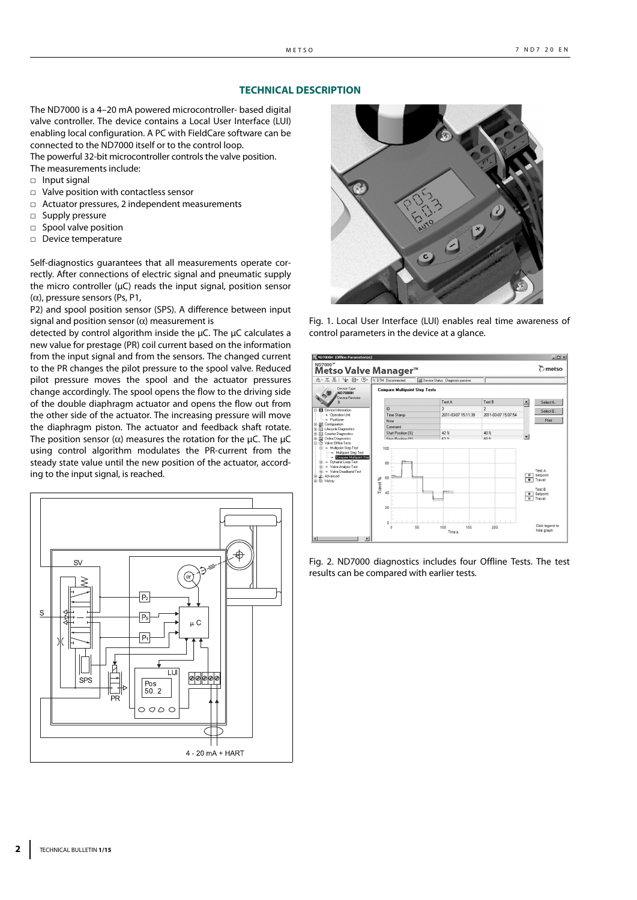#### **TECHNICAL DESCRIPTION**

The ND7000 is a 4–20 mA powered microcontroller- based digital valve controller. The device contains a Local User Interface (LUI) enabling local configuration. A PC with FieldCare software can be connected to the ND7000 itself or to the control loop.

The powerful 32-bit microcontroller controls the valve position. The measurements include:

- □ Input signal
- □ Valve position with contactless sensor
- □ Actuator pressures, 2 independent measurements
- □ Supply pressure
- □ Spool valve position
- □ Device temperature

Self-diagnostics guarantees that all measurements operate correctly. After connections of electric signal and pneumatic supply the micro controller (μC) reads the input signal, position sensor (α), pressure sensors (Ps, P1,

P2) and spool position sensor (SPS). A difference between input signal and position sensor  $(\alpha)$  measurement is

detected by control algorithm inside the μC. The μC calculates a new value for prestage (PR) coil current based on the information from the input signal and from the sensors. The changed current to the PR changes the pilot pressure to the spool valve. Reduced pilot pressure moves the spool and the actuator pressures change accordingly. The spool opens the flow to the driving side of the double diaphragm actuator and opens the flow out from the other side of the actuator. The increasing pressure will move the diaphragm piston. The actuator and feedback shaft rotate. The position sensor ( $\alpha$ ) measures the rotation for the  $\mu$ C. The  $\mu$ C using control algorithm modulates the PR-current from the steady state value until the new position of the actuator, according to the input signal, is reached.





Fig. 1. Local User Interface (LUI) enables real time awareness of control parameters in the device at a glance.



Fig. 2. ND7000 diagnostics includes four Offline Tests. The test results can be compared with earlier tests.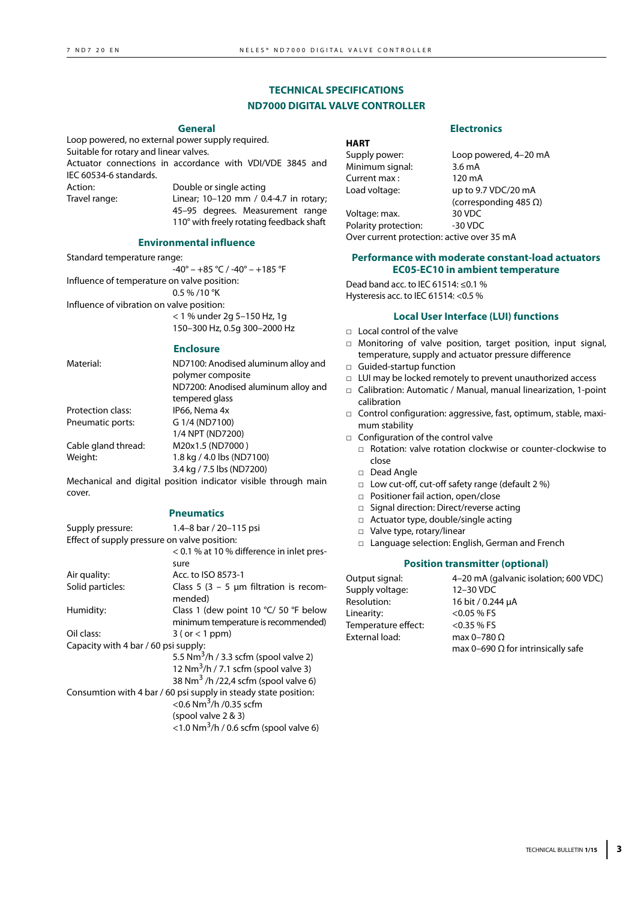# **TECHNICAL SPECIFICATIONS ND7000 DIGITAL VALVE CONTROLLER**

#### **General**

Loop powered, no external power supply required. Suitable for rotary and linear valves. Actuator connections in accordance with VDI/VDE 3845 and IEC 60534-6 standards. Action: Double or single acting Travel range: Linear; 10–120 mm / 0.4-4.7 in rotary;

45–95 degrees. Measurement range 110° with freely rotating feedback shaft

#### **Environmental influence**

Standard temperature range:  $-40^{\circ} - +85 \degree C$  /  $-40^{\circ} - +185 \degree F$ Influence of temperature on valve position: 0.5 % /10 °K Influence of vibration on valve position: < 1 % under 2g 5–150 Hz, 1g 150–300 Hz, 0.5g 300–2000 Hz

#### **Enclosure**

|                     | <u>ынчуучы т</u>                                                                                                  | temperature, supply and actuator p                                                                                              |
|---------------------|-------------------------------------------------------------------------------------------------------------------|---------------------------------------------------------------------------------------------------------------------------------|
| Material:           | ND7100: Anodised aluminum alloy and<br>polymer composite<br>ND7200: Anodised aluminum alloy and<br>tempered glass | $\Box$ Guided-startup function<br>□ LUI may be locked remotely to preve<br>□ Calibration: Automatic / Manual, ma<br>calibration |
| Protection class:   | IP66, Nema 4x                                                                                                     | $\Box$ Control configuration: aggressive, fa                                                                                    |
| Pneumatic ports:    | G 1/4 (ND7100)<br>1/4 NPT (ND7200)                                                                                | mum stability<br>$\Box$ Configuration of the control valve                                                                      |
| Cable gland thread: | M20x1.5 (ND7000)                                                                                                  | $\Box$ Rotation: valve rotation clockwis                                                                                        |
| Weight:             | 1.8 kg / 4.0 lbs (ND7100)<br>3.4 kg / 7.5 lbs (ND7200)                                                            | close<br>$\Box$ Dead Angle                                                                                                      |
|                     | Mechanical and digital position indicator visible through main                                                    | $\Box$ Low cut-off, cut-off safety range                                                                                        |
| cover.              |                                                                                                                   | - Desitionau fail a stian Langua (alasa                                                                                         |

## **Pneumatics**

| Supply pressure:                             | 1.4-8 bar / 20-115 psi                                          |
|----------------------------------------------|-----------------------------------------------------------------|
| Effect of supply pressure on valve position: |                                                                 |
|                                              | < 0.1 % at 10 % difference in inlet pres-                       |
|                                              | sure                                                            |
| Air quality:                                 | Acc. to ISO 8573-1                                              |
| Solid particles:                             | Class 5 (3 – 5 $\mu$ m filtration is recom-                     |
|                                              | mended)                                                         |
| Humidity:                                    | Class 1 (dew point 10 °C/ 50 °F below                           |
|                                              | minimum temperature is recommended)                             |
| Oil class:                                   | $3$ (or $<$ 1 ppm)                                              |
| Capacity with 4 bar / 60 psi supply:         |                                                                 |
|                                              | 5.5 Nm <sup>3</sup> /h / 3.3 scfm (spool valve 2)               |
|                                              | 12 Nm <sup>3</sup> /h / 7.1 scfm (spool valve 3)                |
|                                              | 38 Nm <sup>3</sup> /h/22,4 scfm (spool valve 6)                 |
|                                              | Consumtion with 4 bar / 60 psi supply in steady state position: |
|                                              | <0.6 Nm <sup>3</sup> /h /0.35 scfm                              |
|                                              | (spool value 2 & 3)                                             |
|                                              | <1.0 Nm <sup>3</sup> /h / 0.6 scfm (spool valve 6)              |

## **Electronics**

| <b>HART</b>          |                               |
|----------------------|-------------------------------|
| Supply power:        | Loop powered, 4-20 mA         |
| Minimum signal:      | 3.6 <sub>m</sub> A            |
| Current max:         | 120 mA                        |
| Load voltage:        | up to 9.7 VDC/20 mA           |
|                      | (corresponding 485 $\Omega$ ) |
| Voltage: max.        | 30 VDC                        |
| Polarity protection: | $-30$ VDC                     |
|                      |                               |

Over current protection: active over 35 mA

#### **Performance with moderate constant-load actuators EC05-EC10 in ambient temperature**

Dead band acc. to IEC 61514: ≤0.1 % Hysteresis acc. to IEC 61514: <0.5 %

## **Local User Interface (LUI) functions**

- □ Local control of the valve
- □ Monitoring of valve position, target position, input signal, ressure difference
- ent unauthorized access
- anual linearization, 1-point
- ast, optimum, stable, maxi
	- se or counter-clockwise to
	- (default 2 %)
	- □ Positioner fail action, open/close
	- □ Signal direction: Direct/reverse acting
	- □ Actuator type, double/single acting
	- □ Valve type, rotary/linear
	- □ Language selection: English, German and French

## **Position transmitter (optional)**

| Output signal:      | 4-20 mA (galvanic isolation; 600 VDC)     |
|---------------------|-------------------------------------------|
| Supply voltage:     | 12-30 VDC                                 |
| Resolution:         | 16 bit / 0.244 µA                         |
| Linearity:          | $<$ 0.05 % FS                             |
| Temperature effect: | $<$ 0.35 % FS                             |
| External load:      | max 0-780 $\Omega$                        |
|                     | max 0-690 $\Omega$ for intrinsically safe |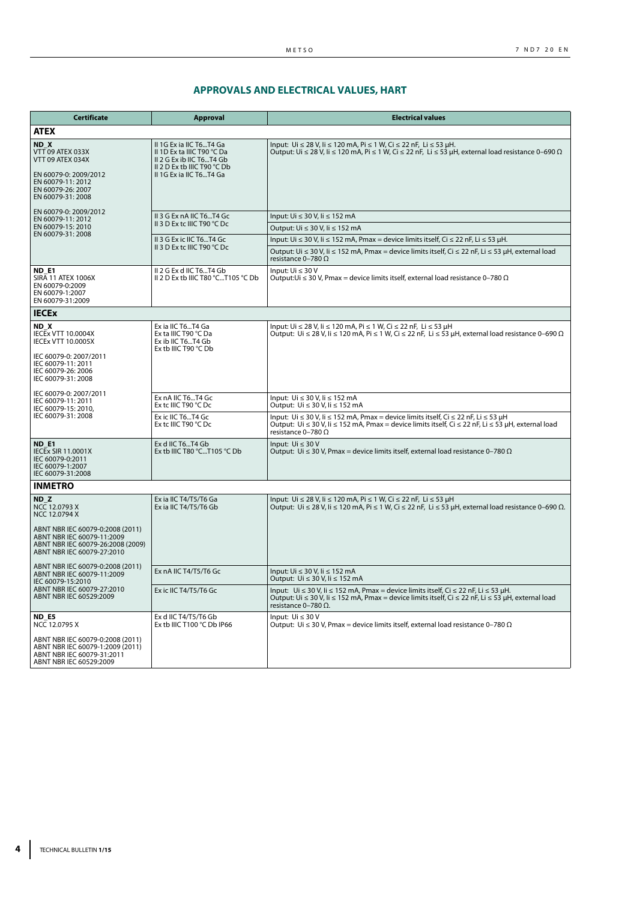# **APPROVALS AND ELECTRICAL VALUES, HART**

| <b>Certificate</b>                                                                                                                                                                     | <b>Approval</b>                                                                                                                             | <b>Electrical values</b>                                                                                                                                                                                                                       |
|----------------------------------------------------------------------------------------------------------------------------------------------------------------------------------------|---------------------------------------------------------------------------------------------------------------------------------------------|------------------------------------------------------------------------------------------------------------------------------------------------------------------------------------------------------------------------------------------------|
| <b>ATEX</b>                                                                                                                                                                            |                                                                                                                                             |                                                                                                                                                                                                                                                |
| ND X<br>VTT 09 ATEX 033X<br>VTT 09 ATEX 034X<br>EN 60079-0: 2009/2012<br>EN 60079-11: 2012<br>EN 60079-26: 2007<br>EN 60079-31: 2008                                                   | II 1G Ex ia IIC T6T4 Ga<br>II 1D Ex ta IIIC T90 °C Da<br>II 2 G Ex ib IIC T6T4 Gb<br>II 2 D Ex tb IIIC T90 °C Db<br>II 1G Ex ia IIC T6T4 Ga | Input: Ui ≤ 28 V, Ii ≤ 120 mA, Pi ≤ 1 W, Ci ≤ 22 nF, Li ≤ 53 µH.<br>Output: Ui $\leq$ 28 V, Ii $\leq$ 120 mA, Pi $\leq$ 1 W, Ci $\leq$ 22 nF, Li $\leq$ 53 µH, external load resistance 0–690 $\Omega$                                         |
| EN 60079-0: 2009/2012                                                                                                                                                                  | II 3 G Ex nA IIC T6T4 Gc                                                                                                                    | Input: Ui ≤ 30 V, Ii ≤ 152 mA                                                                                                                                                                                                                  |
| EN 60079-11: 2012<br>EN 60079-15: 2010                                                                                                                                                 | II 3 D Ex tc IIIC T90 °C Dc                                                                                                                 | Output: Ui ≤ 30 V, li ≤ 152 mA                                                                                                                                                                                                                 |
| EN 60079-31: 2008                                                                                                                                                                      | II 3 G Ex ic IIC T6T4 Gc                                                                                                                    | Input: Ui ≤ 30 V, Ii ≤ 152 mA, Pmax = device limits itself, Ci ≤ 22 nF, Li ≤ 53 µH.                                                                                                                                                            |
|                                                                                                                                                                                        | II 3 D Ex tc IIIC T90 °C Dc                                                                                                                 | Output: Ui ≤ 30 V, Ii ≤ 152 mA, Pmax = device limits itself, Ci ≤ 22 nF, Li ≤ 53 µH, external load<br>resistance 0-780 $\Omega$                                                                                                                |
| <b>ND E1</b><br><b>SIRA 11 ATEX 1006X</b><br>EN 60079-0:2009<br>EN 60079-1:2007<br>EN 60079-31:2009                                                                                    | II 2 G Ex d IIC T6T4 Gb<br>II 2 D Ex tb IIIC T80 °CT105 °C Db                                                                               | Input: $Ui \leq 30 V$<br>Output: Ui $\leq$ 30 V, Pmax = device limits itself, external load resistance 0-780 $\Omega$                                                                                                                          |
| <b>IECEX</b>                                                                                                                                                                           |                                                                                                                                             |                                                                                                                                                                                                                                                |
| ND X<br><b>IECEX VTT 10.0004X</b><br><b>IECEX VTT 10.0005X</b><br>IEC 60079-0: 2007/2011<br>IEC 60079-11: 2011<br>IEC 60079-26: 2006<br>IEC 60079-31: 2008                             | Ex ia IIC T6T4 Ga<br>Ex ta IIIC T90 °C Da<br>Ex ib IIC T6T4 Gb<br>Ex tb IIIC T90 °C Db                                                      | Input: Ui ≤ 28 V, Ii ≤ 120 mA, Pi ≤ 1 W, Ci ≤ 22 nF, Li ≤ 53 µH<br>Output: Ui $\leq$ 28 V, li $\leq$ 120 mA, Pi $\leq$ 1 W, Ci $\leq$ 22 nF, Li $\leq$ 53 µH, external load resistance 0-690 $\Omega$                                          |
| IEC 60079-0: 2007/2011                                                                                                                                                                 | Ex nA IIC T6T4 Gc                                                                                                                           | Input: Ui ≤ 30 V, li ≤ 152 mA                                                                                                                                                                                                                  |
| IEC 60079-11: 2011<br>IEC 60079-15: 2010,                                                                                                                                              | Ex tc IIIC T90 ℃ Dc                                                                                                                         | Output: Ui ≤ 30 V, Ii ≤ 152 mA                                                                                                                                                                                                                 |
| IEC 60079-31: 2008                                                                                                                                                                     | Ex ic IIC T6T4 Gc<br>Ex tc IIIC T90 °C Dc                                                                                                   | Input: Ui $\leq$ 30 V, Ii $\leq$ 152 mA, Pmax = device limits itself, Ci $\leq$ 22 nF, Li $\leq$ 53 µH<br>Output: Ui ≤ 30 V, li ≤ 152 mA, Pmax = device limits itself, Ci ≤ 22 nF, Li ≤ 53 µH, external load<br>resistance 0-780 $\Omega$      |
| <b>ND E1</b><br><b>IECEX SIR 11.0001X</b><br>IEC 60079-0:2011<br>IEC 60079-1:2007<br>IEC 60079-31:2008                                                                                 | Ex d IIC T6T4 Gb<br>Ex tb IIIC T80 °CT105 °C Db                                                                                             | Input: $Ui < 30 V$<br>Output: Ui $\leq$ 30 V, Pmax = device limits itself, external load resistance 0-780 $\Omega$                                                                                                                             |
| <b>INMETRO</b>                                                                                                                                                                         |                                                                                                                                             |                                                                                                                                                                                                                                                |
| ND <sub>Z</sub><br>NCC 12.0793 X<br>NCC 12.0794 X<br>ABNT NBR IEC 60079-0:2008 (2011)<br>ABNT NBR IEC 60079-11:2009<br>ABNT NBR IEC 60079-26:2008 (2009)<br>ABNT NBR IEC 60079-27:2010 | Ex ia IIC T4/T5/T6 Ga<br>Ex ia IIC T4/T5/T6 Gb                                                                                              | Input: Ui ≤ 28 V, Ii ≤ 120 mA, Pi ≤ 1 W, Ci ≤ 22 nF, Li ≤ 53 µH<br>Output: Ui $\leq$ 28 V, Ii $\leq$ 120 mA, Pi $\leq$ 1 W, Ci $\leq$ 22 nF, Li $\leq$ 53 µH, external load resistance 0-690 $\Omega$ .                                        |
| ABNT NBR IEC 60079-0:2008 (2011)<br>ABNT NBR IEC 60079-11:2009<br>IEC 60079-15:2010                                                                                                    | Ex nA IIC T4/T5/T6 Gc                                                                                                                       | Input: Ui ≤ 30 V, Ii ≤ 152 mA<br>Output: Ui ≤ 30 V, Ii ≤ 152 mA                                                                                                                                                                                |
| ABNT NBR IEC 60079-27:2010<br>ABNT NBR IEC 60529:2009                                                                                                                                  | Ex ic IIC T4/T5/T6 Gc                                                                                                                       | Input: Ui $\leq$ 30 V, Ii $\leq$ 152 mA, Pmax = device limits itself, Ci $\leq$ 22 nF, Li $\leq$ 53 µH.<br>Output: Ui ≤ 30 V, Ii ≤ 152 mA, Pmax = device limits itself, Ci ≤ 22 nF, Li ≤ 53 µH, external load<br>resistance $0-780$ $\Omega$ . |
| ND_E5<br>NCC 12.0795 X                                                                                                                                                                 | Ex d IIC T4/T5/T6 Gb<br>Ex tb IIIC T100 °C Db IP66                                                                                          | Input: $Ui \leq 30 V$<br>Output: Ui $\leq$ 30 V, Pmax = device limits itself, external load resistance 0-780 $\Omega$                                                                                                                          |
| ABNT NBR IEC 60079-0:2008 (2011)<br>ABNT NBR IEC 60079-1:2009 (2011)<br>ABNT NBR IEC 60079-31:2011<br>ABNT NBR IEC 60529:2009                                                          |                                                                                                                                             |                                                                                                                                                                                                                                                |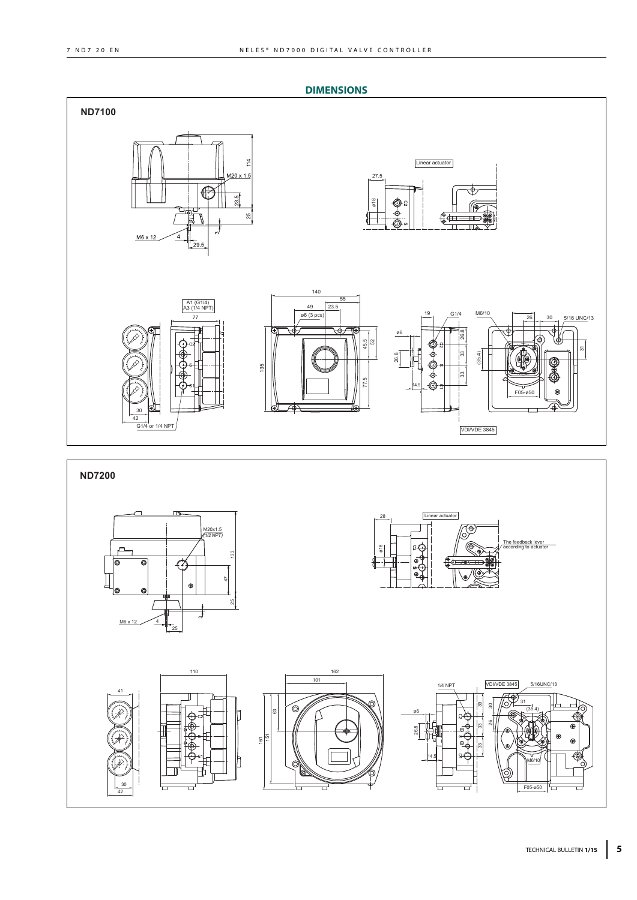

# TECHNICAL BULLETIN **1/15 5**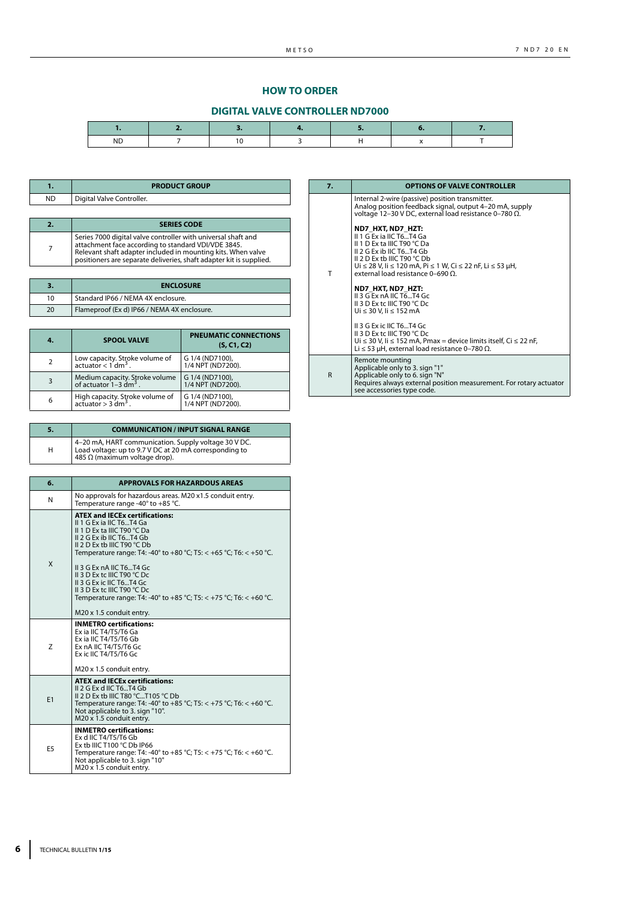# **HOW TO ORDER**

# **DIGITAL VALVE CONTROLLER ND7000**

| <b>ND</b> |  |  |  |
|-----------|--|--|--|

 $\overline{\phantom{a}}$ 

|           | <b>PRODUCT GROUP</b>      |
|-----------|---------------------------|
| <b>ND</b> | Digital Valve Controller. |
|           |                           |
|           |                           |
| 2.        | <b>SERIES CODE</b>        |

| , attachment race accolumy to standard V <i>DI</i> /VDE 3043.<br>Relevant shaft adapter included in mounting kits. When valve<br>positioners are separate deliveries, shaft adapter kit is supplied. |
|------------------------------------------------------------------------------------------------------------------------------------------------------------------------------------------------------|
|                                                                                                                                                                                                      |

|    | <b>ENCLOSURE</b>                            |
|----|---------------------------------------------|
| 10 | Standard IP66 / NEMA 4X enclosure.          |
| 20 | Flameproof (Ex d) IP66 / NEMA 4X enclosure. |

| 4. | <b>SPOOL VALVE</b>                                                      | <b>PNEUMATIC CONNECTIONS</b><br>(S, C1, C2) |
|----|-------------------------------------------------------------------------|---------------------------------------------|
| 2  | Low capacity. Stroke volume of<br>$actualor < 1$ dm <sup>3</sup> .      | G 1/4 (ND7100),<br>1/4 NPT (ND7200).        |
| 3  | Medium capacity. Stroke volume<br>of actuator $1 - 3$ dm <sup>3</sup> . | G 1/4 (ND7100),<br>1/4 NPT (ND7200).        |
| 6  | High capacity. Stroke volume of<br>$actualor > 3 dm3$ .                 | G 1/4 (ND7100),<br>1/4 NPT (ND7200).        |

| 5. | <b>COMMUNICATION / INPUT SIGNAL RANGE</b>                                                                                                              |
|----|--------------------------------------------------------------------------------------------------------------------------------------------------------|
| н  | 4-20 mA, HART communication. Supply voltage 30 V DC.<br>Load voltage: up to 9.7 V DC at 20 mA corresponding to<br>485 $\Omega$ (maximum voltage drop). |

| 6.             | <b>APPROVALS FOR HAZARDOUS AREAS</b>                                                                                                                                                                                                                                                                                                                                                                                                                      |
|----------------|-----------------------------------------------------------------------------------------------------------------------------------------------------------------------------------------------------------------------------------------------------------------------------------------------------------------------------------------------------------------------------------------------------------------------------------------------------------|
| N              | No approvals for hazardous areas. M20 x1.5 conduit entry.<br>Temperature range -40° to +85 °C.                                                                                                                                                                                                                                                                                                                                                            |
| X              | <b>ATEX and IECEx certifications:</b><br>II 1 G Ex ia IIC T6T4 Ga<br>II 1 D Ex ta IIIC T90 °C Da<br>II 2 G Ex ib IIC T6T4 Gb<br>II 2 D Ex tb IIIC T90 °C Db<br>Temperature range: T4: -40° to +80 °C; T5: < +65 °C; T6: < +50 °C.<br>II 3 G Ex nA IIC T6T4 Gc<br>II 3 D Ex tc IIIC T90 °C Dc<br>II 3 G Ex ic IIC T6T4 Gc<br>II 3 D Ex tc IIIC T90 °C Dc<br>Temperature range: T4: -40° to +85 °C; T5: < +75 °C; T6: < +60 °C.<br>M20 x 1.5 conduit entry. |
| Z              | <b>INMETRO certifications:</b><br>Ex ia IIC T4/T5/T6 Ga<br>Ex ia IIC T4/T5/T6 Gb<br>Ex nA IIC T4/T5/T6 Gc<br>Ex ic IIC T4/T5/T6 Gc<br>M20 x 1.5 conduit entry.                                                                                                                                                                                                                                                                                            |
| E <sub>1</sub> | <b>ATEX and IECEx certifications:</b><br>II 2 G Ex d IIC T6T4 Gb<br>II 2 D Ex th IIIC T80 $°C$ T105 $°C$ Db<br>Temperature range: T4: -40° to +85 °C; T5: < +75 °C; T6: < +60 °C.<br>Not applicable to 3. sign "10".<br>M20 x 1.5 conduit entry.                                                                                                                                                                                                          |
| E <sub>5</sub> | <b>INMETRO certifications:</b><br>Ex d IIC T4/T5/T6 Gb<br>Ex tb IIIC T100 $^{\circ}$ C Db IP66<br>Temperature range: T4: -40° to +85 °C; T5: < +75 °C; T6: < +60 °C.<br>Not applicable to 3. sign "10"<br>M20 x 1.5 conduit entry.                                                                                                                                                                                                                        |

| 7.           | <b>OPTIONS OF VALVE CONTROLLER</b>                                                                                                                                                                                                                                                                                                                                                                                                                                                                                                                                                                                                                        |
|--------------|-----------------------------------------------------------------------------------------------------------------------------------------------------------------------------------------------------------------------------------------------------------------------------------------------------------------------------------------------------------------------------------------------------------------------------------------------------------------------------------------------------------------------------------------------------------------------------------------------------------------------------------------------------------|
| T            | Internal 2-wire (passive) position transmitter.<br>Analog position feedback signal, output 4-20 mA, supply<br>voltage 12-30 V DC, external load resistance 0-780 Ω.<br>ND7 HXT, ND7 HZT:<br>II 1 G Ex ia IIC T6T4 Ga<br>II 1 D Ex ta IIIC T90 °C Da<br>II 2 G Ex ib IIC T6T4 Gb<br>II 2 D Ex tb IIIC T90 °C Db<br>Ui ≤ 28 V, li ≤ 120 mA, Pi ≤ 1 W, Ci ≤ 22 nF, Li ≤ 53 µH,<br>external load resistance 0-690 O.<br>ND7 HXT, ND7 HZT:<br>II 3 G Ex nA IIC T6T4 Gc<br>II 3 D Ex tc IIIC T90 °C Dc<br>Ui ≤ 30 V, li ≤ 152 mA<br>II 3 G Ex ic IIC T6T4 Gc<br>II 3 D Ex tc IIIC T90 °C Dc<br>Ui ≤ 30 V, Ii ≤ 152 mA, Pmax = device limits itself, Ci ≤ 22 nF, |
|              | Li $\leq$ 53 µH, external load resistance 0-780 $\Omega$ .                                                                                                                                                                                                                                                                                                                                                                                                                                                                                                                                                                                                |
| $\mathsf{R}$ | Remote mounting<br>Applicable only to 3. sign "1"<br>Applicable only to 6. sign "N"<br>Requires always external position measurement. For rotary actuator<br>see accessories type code.                                                                                                                                                                                                                                                                                                                                                                                                                                                                   |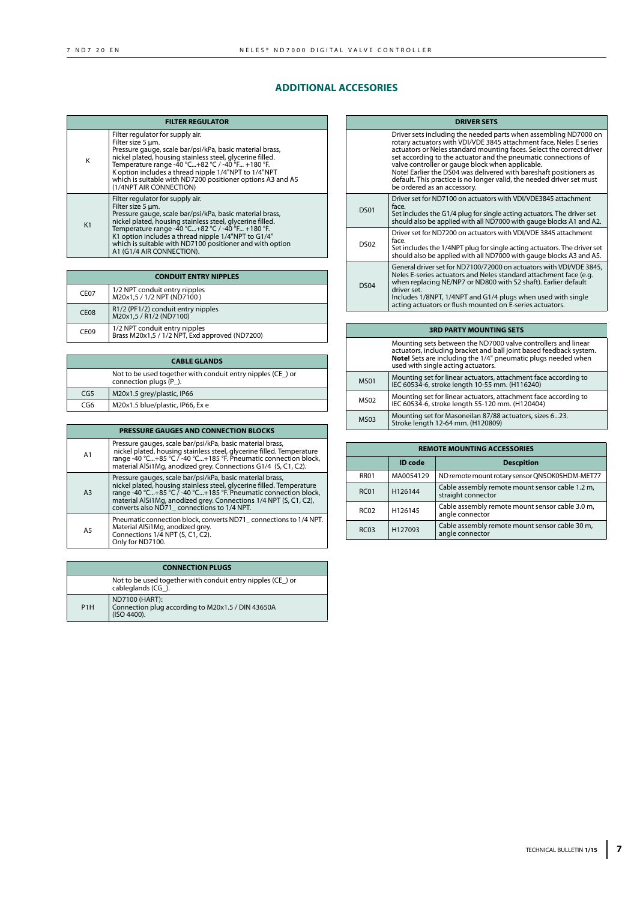# **ADDITIONAL ACCESORIES**

| <b>FILTER REGULATOR</b> |                                                                                                                                                                                                                                                                                                                                                                                     |  |
|-------------------------|-------------------------------------------------------------------------------------------------------------------------------------------------------------------------------------------------------------------------------------------------------------------------------------------------------------------------------------------------------------------------------------|--|
| K                       | Filter regulator for supply air.<br>Filter size 5 um.<br>Pressure gauge, scale bar/psi/kPa, basic material brass,<br>nickel plated, housing stainless steel, glycerine filled.<br>Temperature range -40 °C+82 °C / -40 °F +180 °F.<br>K option includes a thread nipple 1/4"NPT to 1/4"NPT<br>which is suitable with ND7200 positioner options A3 and A5<br>(1/4NPT AIR CONNECTION) |  |
| K1                      | Filter regulator for supply air.<br>Filter size 5 um.<br>Pressure gauge, scale bar/psi/kPa, basic material brass,<br>nickel plated, housing stainless steel, glycerine filled.<br>Temperature range -40 °C+82 °C / -40 °F +180 °F.<br>K1 option includes a thread nipple 1/4"NPT to G1/4"<br>which is suitable with ND7100 positioner and with option<br>A1 (G1/4 AIR CONNECTION).  |  |

| <b>CONDUIT ENTRY NIPPLES</b>                                                      |                                                                                 |  |
|-----------------------------------------------------------------------------------|---------------------------------------------------------------------------------|--|
| CE <sub>07</sub>                                                                  | 1/2 NPT conduit entry nipples<br>M20x1,5 / 1/2 NPT (ND7100)                     |  |
| R1/2 (PF1/2) conduit entry nipples<br>CE <sub>08</sub><br>M20x1,5 / R1/2 (ND7100) |                                                                                 |  |
| CE <sub>09</sub>                                                                  | 1/2 NPT conduit entry nipples<br>Brass M20x1,5 / 1/2 NPT, Exd approved (ND7200) |  |

| <b>CABLE GLANDS</b>                                                                 |                                  |  |
|-------------------------------------------------------------------------------------|----------------------------------|--|
| Not to be used together with conduit entry nipples (CE) or<br>connection plugs (P). |                                  |  |
| CG5                                                                                 | M20x1.5 grey/plastic, IP66       |  |
| CG6                                                                                 | M20x1.5 blue/plastic, IP66, Ex e |  |

|                | <b>PRESSURE GAUGES AND CONNECTION BLOCKS</b> |                                                                                                                                                                                                                                                                                                                          |  |
|----------------|----------------------------------------------|--------------------------------------------------------------------------------------------------------------------------------------------------------------------------------------------------------------------------------------------------------------------------------------------------------------------------|--|
| A <sub>1</sub> |                                              | Pressure gauges, scale bar/psi/kPa, basic material brass,<br>nickel plated, housing stainless steel, glycerine filled. Temperature<br>range -40 °C+85 °C / -40 °C+185 °F. Pneumatic connection block,<br>material AlSi1Mg, anodized grey. Connections G1/4 (S, C1, C2).                                                  |  |
|                | A <sub>3</sub>                               | Pressure gauges, scale bar/psi/kPa, basic material brass,<br>nickel plated, housing stainless steel, glycerine filled. Temperature<br>range -40 °C+85 °C / -40 °C+185 °F. Pneumatic connection block,<br>material AlSi1Mg, anodized grey. Connections 1/4 NPT (S, C1, C2),<br>converts also ND71 connections to 1/4 NPT. |  |
|                | A <sub>5</sub>                               | Pneumatic connection block, converts ND71 connections to 1/4 NPT.<br>Material AlSi1Mg, anodized grey.<br>Connections 1/4 NPT (S, C1, C2).<br>Only for ND7100.                                                                                                                                                            |  |

| <b>CONNECTION PLUGS</b>                                                         |                                                                                    |  |
|---------------------------------------------------------------------------------|------------------------------------------------------------------------------------|--|
| Not to be used together with conduit entry nipples (CE) or<br>cableglands (CG). |                                                                                    |  |
| P <sub>1</sub> H                                                                | ND7100 (HART):<br>Connection plug according to M20x1.5 / DIN 43650A<br>(ISO 4400). |  |

| <b>DRIVER SETS</b> |                                                                                                                                                                                                                                                                                                                                                                                                                                                                                                                     |  |
|--------------------|---------------------------------------------------------------------------------------------------------------------------------------------------------------------------------------------------------------------------------------------------------------------------------------------------------------------------------------------------------------------------------------------------------------------------------------------------------------------------------------------------------------------|--|
|                    | Driver sets including the needed parts when assembling ND7000 on<br>rotary actuators with VDI/VDE 3845 attachment face, Neles E series<br>actuators or Neles standard mounting faces. Select the correct driver<br>set according to the actuator and the pneumatic connections of<br>valve controller or gauge block when applicable.<br>Note! Earlier the DS04 was delivered with bareshaft positioners as<br>default. This practice is no longer valid, the needed driver set must<br>be ordered as an accessory. |  |
| <b>DS01</b>        | Driver set for ND7100 on actuators with VDI/VDE3845 attachment<br>face.<br>Set includes the G1/4 plug for single acting actuators. The driver set<br>should also be applied with all ND7000 with gauge blocks A1 and A2.                                                                                                                                                                                                                                                                                            |  |
| <b>DS02</b>        | Driver set for ND7200 on actuators with VDI/VDE 3845 attachment<br>face.<br>Set includes the 1/4NPT plug for single acting actuators. The driver set should also be applied with all ND7000 with qauge blocks A3 and A5.                                                                                                                                                                                                                                                                                            |  |
| <b>DS04</b>        | General driver set for ND7100/72000 on actuators with VDI/VDE 3845,<br>Neles E-series actuators and Neles standard attachment face (e.g.<br>when replacing NE/NP7 or ND800 with S2 shaft). Earlier default<br>driver set.<br>Includes 1/8NPT, 1/4NPT and G1/4 plugs when used with single<br>acting actuators or flush mounted on E-series actuators.                                                                                                                                                               |  |

| <b>3RD PARTY MOUNTING SETS</b>                                                                                                                                                                                                             |                                                                                                                    |  |
|--------------------------------------------------------------------------------------------------------------------------------------------------------------------------------------------------------------------------------------------|--------------------------------------------------------------------------------------------------------------------|--|
| Mounting sets between the ND7000 valve controllers and linear<br>actuators, including bracket and ball joint based feedback system.<br>Note! Sets are including the 1/4" pneumatic plugs needed when<br>used with single acting actuators. |                                                                                                                    |  |
| <b>MS01</b>                                                                                                                                                                                                                                | Mounting set for linear actuators, attachment face according to<br>IEC 60534-6, stroke length 10-55 mm. (H116240)  |  |
| <b>MS02</b>                                                                                                                                                                                                                                | Mounting set for linear actuators, attachment face according to<br>IEC 60534-6, stroke length 55-120 mm. (H120404) |  |
| <b>MS03</b>                                                                                                                                                                                                                                | Mounting set for Masoneilan 87/88 actuators, sizes 623.<br>Stroke length 12-64 mm. (H120809)                       |  |

| <b>REMOTE MOUNTING ACCESSORIES</b> |           |                                                                       |
|------------------------------------|-----------|-----------------------------------------------------------------------|
|                                    | ID code   | <b>Descpition</b>                                                     |
| <b>RR01</b>                        | MA0054129 | ND remote mount rotary sensor QN5OK05HDM-MET77                        |
| <b>RC01</b>                        | H126144   | Cable assembly remote mount sensor cable 1.2 m,<br>straight connector |
| <b>RC02</b>                        | H126145   | Cable assembly remote mount sensor cable 3.0 m,<br>angle connector    |
| <b>RC03</b>                        | H127093   | Cable assembly remote mount sensor cable 30 m,<br>angle connector     |